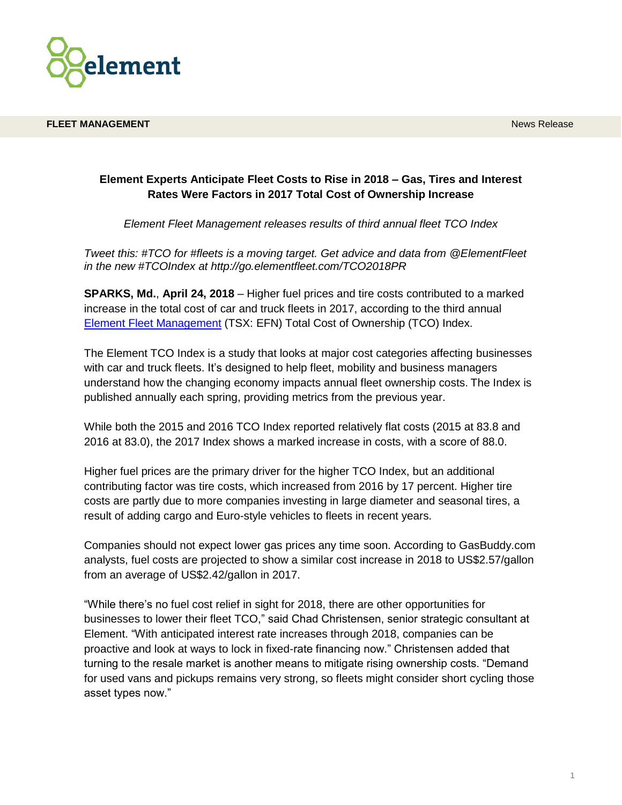

## **Element Experts Anticipate Fleet Costs to Rise in 2018 – Gas, Tires and Interest Rates Were Factors in 2017 Total Cost of Ownership Increase**

*Element Fleet Management releases results of third annual fleet TCO Index*

*Tweet this: #TCO for #fleets is a moving target. Get advice and data from @ElementFleet in the new #TCOIndex at http://go.elementfleet.com/TCO2018PR*

**SPARKS, Md.**, **April 24, 2018** – Higher fuel prices and tire costs contributed to a marked increase in the total cost of car and truck fleets in 2017, according to the third annual [Element Fleet Management](https://www.elementfleet.com/) (TSX: EFN) Total Cost of Ownership (TCO) Index.

The Element TCO Index is a study that looks at major cost categories affecting businesses with car and truck fleets. It's designed to help fleet, mobility and business managers understand how the changing economy impacts annual fleet ownership costs. The Index is published annually each spring, providing metrics from the previous year.

While both the 2015 and 2016 TCO Index reported relatively flat costs (2015 at 83.8 and 2016 at 83.0), the 2017 Index shows a marked increase in costs, with a score of 88.0.

Higher fuel prices are the primary driver for the higher TCO Index, but an additional contributing factor was tire costs, which increased from 2016 by 17 percent. Higher tire costs are partly due to more companies investing in large diameter and seasonal tires, a result of adding cargo and Euro-style vehicles to fleets in recent years.

Companies should not expect lower gas prices any time soon. According to GasBuddy.com analysts, fuel costs are projected to show a similar cost increase in 2018 to US\$2.57/gallon from an average of US\$2.42/gallon in 2017.

"While there's no fuel cost relief in sight for 2018, there are other opportunities for businesses to lower their fleet TCO," said Chad Christensen, senior strategic consultant at Element. "With anticipated interest rate increases through 2018, companies can be proactive and look at ways to lock in fixed-rate financing now." Christensen added that turning to the resale market is another means to mitigate rising ownership costs. "Demand for used vans and pickups remains very strong, so fleets might consider short cycling those asset types now."